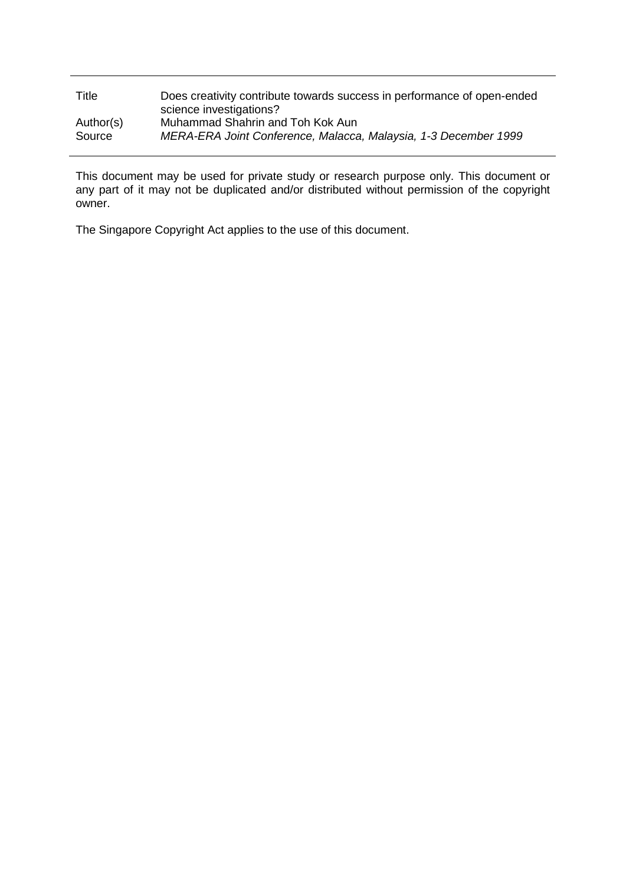| Title     | Does creativity contribute towards success in performance of open-ended<br>science investigations? |
|-----------|----------------------------------------------------------------------------------------------------|
| Author(s) | Muhammad Shahrin and Toh Kok Aun                                                                   |
| Source    | MERA-ERA Joint Conference, Malacca, Malaysia, 1-3 December 1999                                    |

This document may be used for private study or research purpose only. This document or any part of it may not be duplicated and/or distributed without permission of the copyright owner.

The Singapore Copyright Act applies to the use of this document.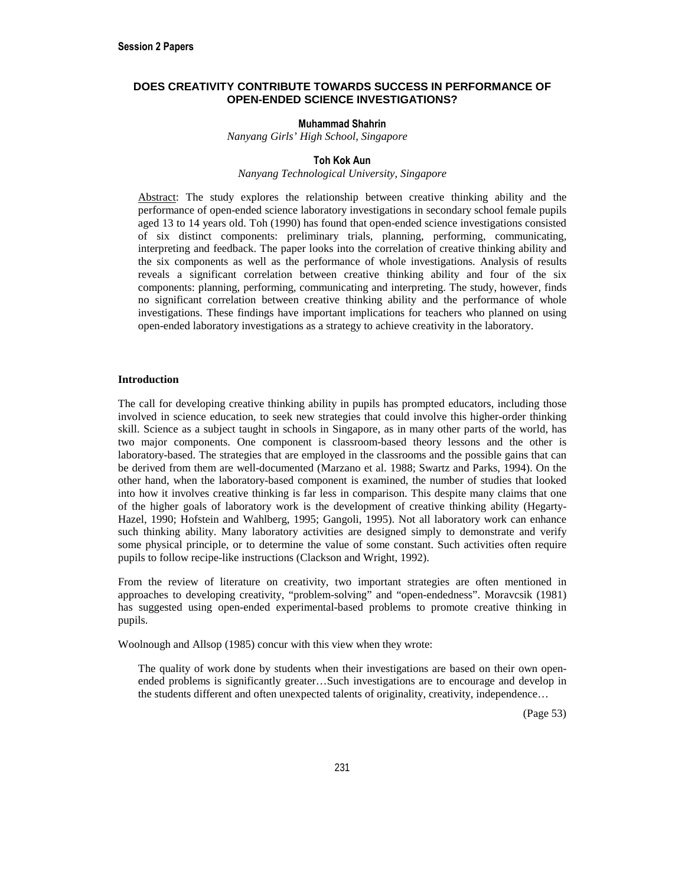# **DOES CREATIVITY CONTRIBUTE TOWARDS SUCCESS IN PERFORMANCE OF OPEN-ENDED SCIENCE INVESTIGATIONS?**

## **Muhammad Shahrin**

*Nanyang Girls' High School, Singapore* 

## **Toh Kok Aun**

#### *Nanyang Technological University, Singapore*

Abstract: The study explores the relationship between creative thinking ability and the performance of open-ended science laboratory investigations in secondary school female pupils aged 13 to 14 years old. Toh (1990) has found that open-ended science investigations consisted of six distinct components: preliminary trials, planning, performing, communicating, interpreting and feedback. The paper looks into the correlation of creative thinking ability and the six components as well as the performance of whole investigations. Analysis of results reveals a significant correlation between creative thinking ability and four of the six components: planning, performing, communicating and interpreting. The study, however, finds no significant correlation between creative thinking ability and the performance of whole investigations. These findings have important implications for teachers who planned on using open-ended laboratory investigations as a strategy to achieve creativity in the laboratory.

#### **Introduction**

The call for developing creative thinking ability in pupils has prompted educators, including those involved in science education, to seek new strategies that could involve this higher-order thinking skill. Science as a subject taught in schools in Singapore, as in many other parts of the world, has two major components. One component is classroom-based theory lessons and the other is laboratory-based. The strategies that are employed in the classrooms and the possible gains that can be derived from them are well-documented (Marzano et al. 1988; Swartz and Parks, 1994). On the other hand, when the laboratory-based component is examined, the number of studies that looked into how it involves creative thinking is far less in comparison. This despite many claims that one of the higher goals of laboratory work is the development of creative thinking ability (Hegarty-Hazel, 1990; Hofstein and Wahlberg, 1995; Gangoli, 1995). Not all laboratory work can enhance such thinking ability. Many laboratory activities are designed simply to demonstrate and verify some physical principle, or to determine the value of some constant. Such activities often require pupils to follow recipe-like instructions (Clackson and Wright, 1992).

From the review of literature on creativity, two important strategies are often mentioned in approaches to developing creativity, "problem-solving" and "open-endedness". Moravcsik (1981) has suggested using open-ended experimental-based problems to promote creative thinking in pupils.

Woolnough and Allsop (1985) concur with this view when they wrote:

The quality of work done by students when their investigations are based on their own openended problems is significantly greater…Such investigations are to encourage and develop in the students different and often unexpected talents of originality, creativity, independence…

(Page 53)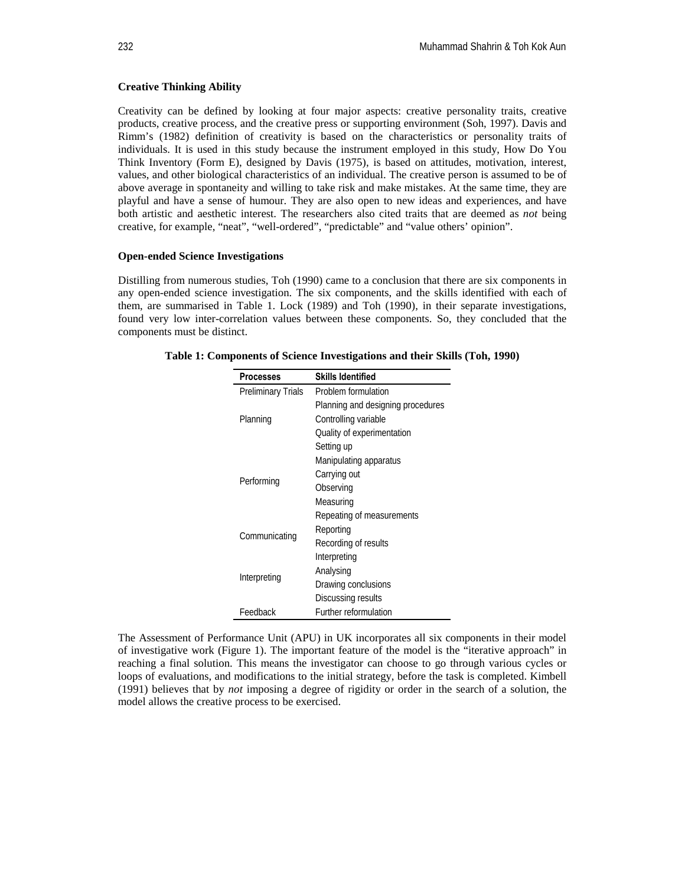## **Creative Thinking Ability**

Creativity can be defined by looking at four major aspects: creative personality traits, creative products, creative process, and the creative press or supporting environment (Soh, 1997). Davis and Rimm's (1982) definition of creativity is based on the characteristics or personality traits of individuals. It is used in this study because the instrument employed in this study, How Do You Think Inventory (Form E), designed by Davis (1975), is based on attitudes, motivation, interest, values, and other biological characteristics of an individual. The creative person is assumed to be of above average in spontaneity and willing to take risk and make mistakes. At the same time, they are playful and have a sense of humour. They are also open to new ideas and experiences, and have both artistic and aesthetic interest. The researchers also cited traits that are deemed as *not* being creative, for example, "neat", "well-ordered", "predictable" and "value others' opinion".

### **Open-ended Science Investigations**

Distilling from numerous studies, Toh (1990) came to a conclusion that there are six components in any open-ended science investigation. The six components, and the skills identified with each of them, are summarised in Table 1. Lock (1989) and Toh (1990), in their separate investigations, found very low inter-correlation values between these components. So, they concluded that the components must be distinct.

| <b>Processes</b>          | <b>Skills Identified</b>          |  |  |
|---------------------------|-----------------------------------|--|--|
| <b>Preliminary Trials</b> | Problem formulation               |  |  |
|                           | Planning and designing procedures |  |  |
| Planning                  | Controlling variable              |  |  |
|                           | Quality of experimentation        |  |  |
|                           | Setting up                        |  |  |
|                           | Manipulating apparatus            |  |  |
| Performing                | Carrying out                      |  |  |
|                           | Observing                         |  |  |
|                           | Measuring                         |  |  |
|                           | Repeating of measurements         |  |  |
| Communicating             | Reporting                         |  |  |
|                           | Recording of results              |  |  |
|                           | Interpreting                      |  |  |
| Interpreting              | Analysing                         |  |  |
|                           | Drawing conclusions               |  |  |
|                           | Discussing results                |  |  |
| Feedback                  | Further reformulation             |  |  |

**Table 1: Components of Science Investigations and their Skills (Toh, 1990)** 

The Assessment of Performance Unit (APU) in UK incorporates all six components in their model of investigative work (Figure 1). The important feature of the model is the "iterative approach" in reaching a final solution. This means the investigator can choose to go through various cycles or loops of evaluations, and modifications to the initial strategy, before the task is completed. Kimbell (1991) believes that by *not* imposing a degree of rigidity or order in the search of a solution, the model allows the creative process to be exercised.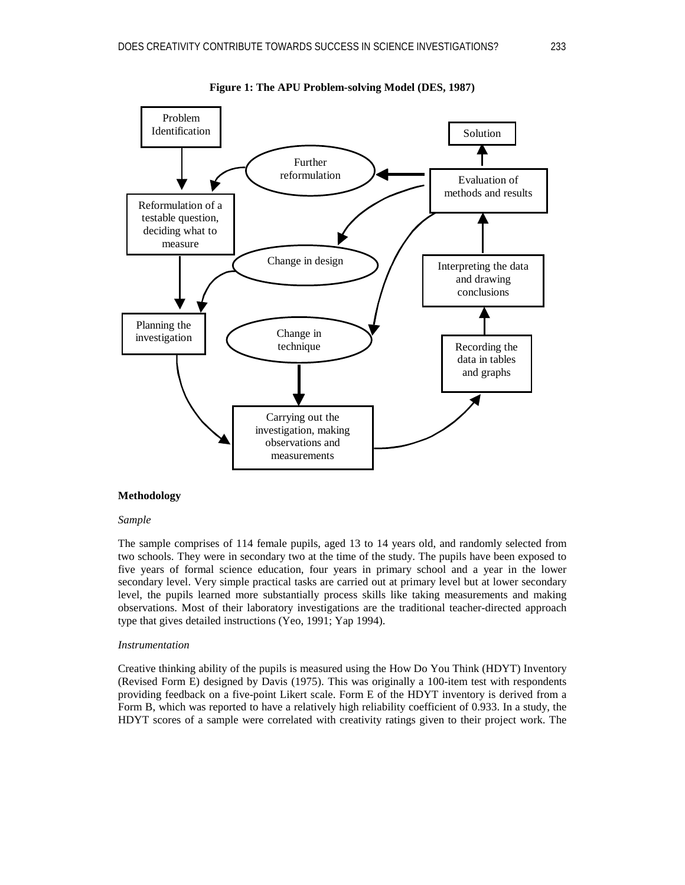



## **Methodology**

## *Sample*

The sample comprises of 114 female pupils, aged 13 to 14 years old, and randomly selected from two schools. They were in secondary two at the time of the study. The pupils have been exposed to five years of formal science education, four years in primary school and a year in the lower secondary level. Very simple practical tasks are carried out at primary level but at lower secondary level, the pupils learned more substantially process skills like taking measurements and making observations. Most of their laboratory investigations are the traditional teacher-directed approach type that gives detailed instructions (Yeo, 1991; Yap 1994).

#### *Instrumentation*

Creative thinking ability of the pupils is measured using the How Do You Think (HDYT) Inventory (Revised Form E) designed by Davis (1975). This was originally a 100-item test with respondents providing feedback on a five-point Likert scale. Form E of the HDYT inventory is derived from a Form B, which was reported to have a relatively high reliability coefficient of 0.933. In a study, the HDYT scores of a sample were correlated with creativity ratings given to their project work. The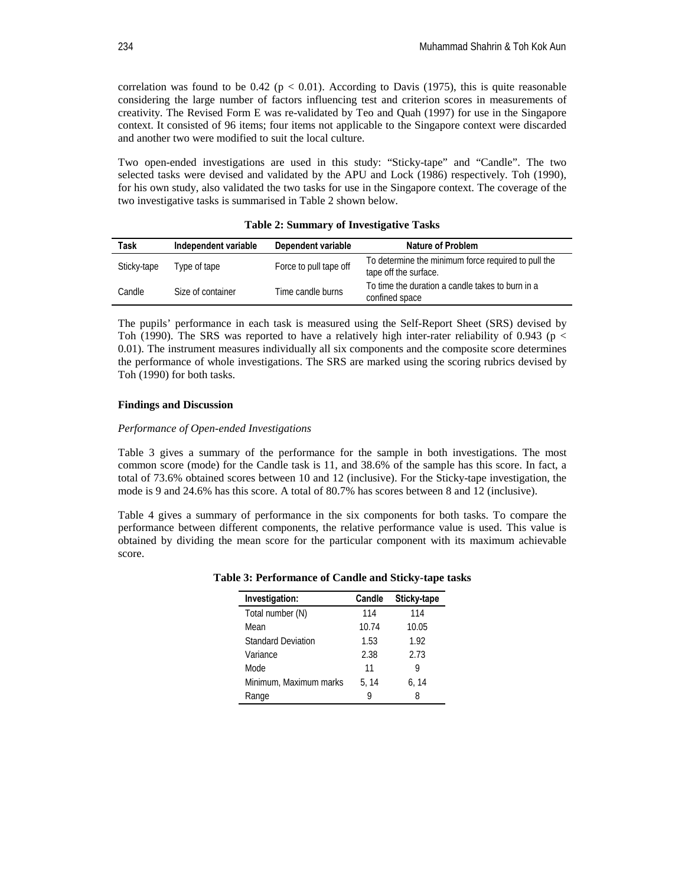correlation was found to be 0.42 ( $p < 0.01$ ). According to Davis (1975), this is quite reasonable considering the large number of factors influencing test and criterion scores in measurements of creativity. The Revised Form E was re-validated by Teo and Quah (1997) for use in the Singapore context. It consisted of 96 items; four items not applicable to the Singapore context were discarded and another two were modified to suit the local culture.

Two open-ended investigations are used in this study: "Sticky-tape" and "Candle". The two selected tasks were devised and validated by the APU and Lock (1986) respectively. Toh (1990), for his own study, also validated the two tasks for use in the Singapore context. The coverage of the two investigative tasks is summarised in Table 2 shown below.

| Task        | Independent variable | Dependent variable     | <b>Nature of Problem</b>                                                     |
|-------------|----------------------|------------------------|------------------------------------------------------------------------------|
| Sticky-tape | Type of tape         | Force to pull tape off | To determine the minimum force required to pull the<br>tape off the surface. |
| Candle      | Size of container    | Time candle burns      | To time the duration a candle takes to burn in a<br>confined space           |

**Table 2: Summary of Investigative Tasks** 

The pupils' performance in each task is measured using the Self-Report Sheet (SRS) devised by Toh (1990). The SRS was reported to have a relatively high inter-rater reliability of 0.943 ( $p <$ 0.01). The instrument measures individually all six components and the composite score determines the performance of whole investigations. The SRS are marked using the scoring rubrics devised by Toh (1990) for both tasks.

## **Findings and Discussion**

#### *Performance of Open-ended Investigations*

Table 3 gives a summary of the performance for the sample in both investigations. The most common score (mode) for the Candle task is 11, and 38.6% of the sample has this score. In fact, a total of 73.6% obtained scores between 10 and 12 (inclusive). For the Sticky-tape investigation, the mode is 9 and 24.6% has this score. A total of 80.7% has scores between 8 and 12 (inclusive).

Table 4 gives a summary of performance in the six components for both tasks. To compare the performance between different components, the relative performance value is used. This value is obtained by dividing the mean score for the particular component with its maximum achievable score.

| Investigation:            | Candle | Sticky-tape |
|---------------------------|--------|-------------|
| Total number (N)          | 114    | 114         |
| Mean                      | 10.74  | 10.05       |
| <b>Standard Deviation</b> | 1.53   | 1.92        |
| Variance                  | 2.38   | 2.73        |
| Mode                      | 11     | 9           |
| Minimum, Maximum marks    | 5, 14  | 6.14        |
| Range                     | y      | 8           |

**Table 3: Performance of Candle and Sticky-tape tasks**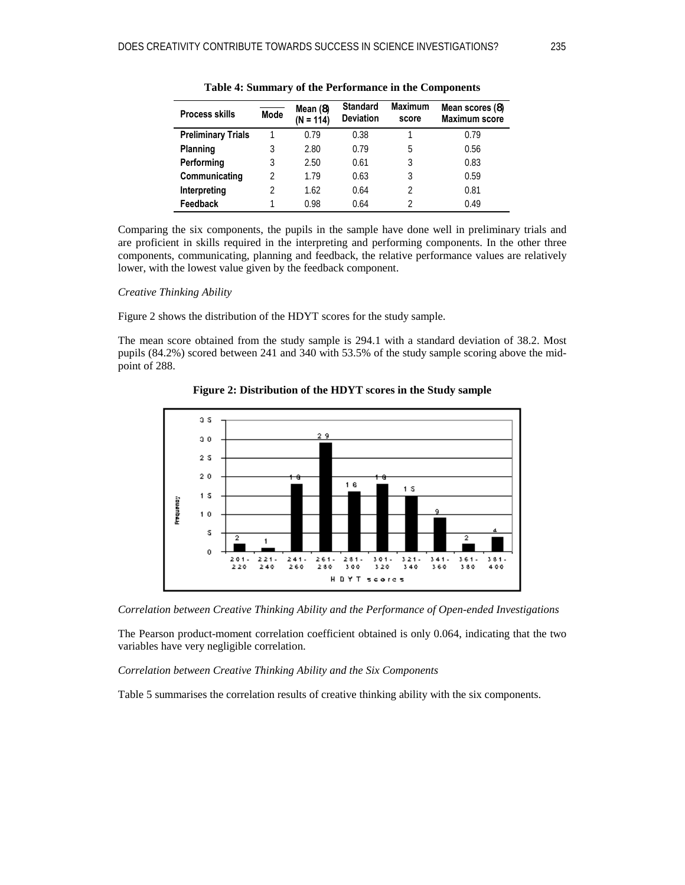| <b>Process skills</b>     | <b>Mode</b> | Mean (8)<br>$(N = 114)$ | <b>Standard</b><br><b>Deviation</b> | <b>Maximum</b><br>score | Mean scores (8)<br>Maximum score |
|---------------------------|-------------|-------------------------|-------------------------------------|-------------------------|----------------------------------|
| <b>Preliminary Trials</b> |             | 0.79                    | 0.38                                |                         | 0.79                             |
| Planning                  | 3           | 2.80                    | 0.79                                | 5                       | 0.56                             |
| Performing                | 3           | 2.50                    | 0.61                                | 3                       | 0.83                             |
| Communicating             | 2           | 1.79                    | 0.63                                | 3                       | 0.59                             |
| Interpreting              | 2           | 1.62                    | 0.64                                | C                       | 0.81                             |
| Feedback                  |             | 0.98                    | 0.64                                |                         | 0.49                             |

**Table 4: Summary of the Performance in the Components** 

Comparing the six components, the pupils in the sample have done well in preliminary trials and are proficient in skills required in the interpreting and performing components. In the other three components, communicating, planning and feedback, the relative performance values are relatively lower, with the lowest value given by the feedback component.

#### *Creative Thinking Ability*

Figure 2 shows the distribution of the HDYT scores for the study sample.

The mean score obtained from the study sample is 294.1 with a standard deviation of 38.2. Most pupils (84.2%) scored between 241 and 340 with 53.5% of the study sample scoring above the midpoint of 288.



**Figure 2: Distribution of the HDYT scores in the Study sample** 

*Correlation between Creative Thinking Ability and the Performance of Open-ended Investigations* 

The Pearson product-moment correlation coefficient obtained is only 0.064, indicating that the two variables have very negligible correlation.

*Correlation between Creative Thinking Ability and the Six Components* 

Table 5 summarises the correlation results of creative thinking ability with the six components.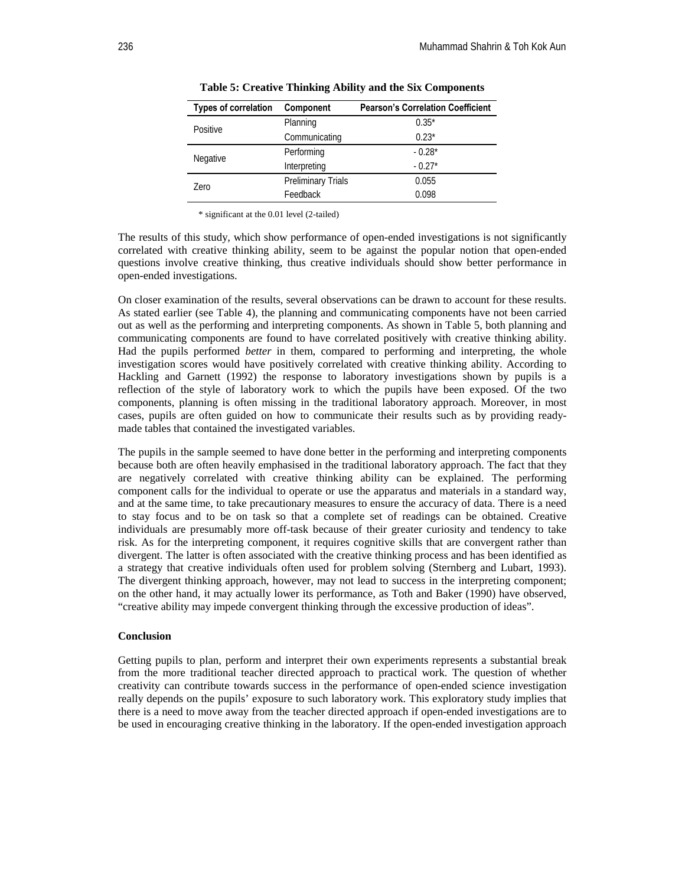| <b>Types of correlation</b> | Component                 | <b>Pearson's Correlation Coefficient</b> |
|-----------------------------|---------------------------|------------------------------------------|
| Positive                    | Planning                  | $0.35*$                                  |
|                             | Communicating             | $0.23*$                                  |
| Negative                    | Performing                | $-0.28*$                                 |
|                             | Interpreting              | $-0.27*$                                 |
| Zero                        | <b>Preliminary Trials</b> | 0.055                                    |
|                             | Feedback                  | 0.098                                    |

**Table 5: Creative Thinking Ability and the Six Components** 

\* significant at the 0.01 level (2-tailed)

The results of this study, which show performance of open-ended investigations is not significantly correlated with creative thinking ability, seem to be against the popular notion that open-ended questions involve creative thinking, thus creative individuals should show better performance in open-ended investigations.

On closer examination of the results, several observations can be drawn to account for these results. As stated earlier (see Table 4), the planning and communicating components have not been carried out as well as the performing and interpreting components. As shown in Table 5, both planning and communicating components are found to have correlated positively with creative thinking ability. Had the pupils performed *better* in them, compared to performing and interpreting, the whole investigation scores would have positively correlated with creative thinking ability. According to Hackling and Garnett (1992) the response to laboratory investigations shown by pupils is a reflection of the style of laboratory work to which the pupils have been exposed. Of the two components, planning is often missing in the traditional laboratory approach. Moreover, in most cases, pupils are often guided on how to communicate their results such as by providing readymade tables that contained the investigated variables.

The pupils in the sample seemed to have done better in the performing and interpreting components because both are often heavily emphasised in the traditional laboratory approach. The fact that they are negatively correlated with creative thinking ability can be explained. The performing component calls for the individual to operate or use the apparatus and materials in a standard way, and at the same time, to take precautionary measures to ensure the accuracy of data. There is a need to stay focus and to be on task so that a complete set of readings can be obtained. Creative individuals are presumably more off-task because of their greater curiosity and tendency to take risk. As for the interpreting component, it requires cognitive skills that are convergent rather than divergent. The latter is often associated with the creative thinking process and has been identified as a strategy that creative individuals often used for problem solving (Sternberg and Lubart, 1993). The divergent thinking approach, however, may not lead to success in the interpreting component; on the other hand, it may actually lower its performance, as Toth and Baker (1990) have observed, "creative ability may impede convergent thinking through the excessive production of ideas".

#### **Conclusion**

Getting pupils to plan, perform and interpret their own experiments represents a substantial break from the more traditional teacher directed approach to practical work. The question of whether creativity can contribute towards success in the performance of open-ended science investigation really depends on the pupils' exposure to such laboratory work. This exploratory study implies that there is a need to move away from the teacher directed approach if open-ended investigations are to be used in encouraging creative thinking in the laboratory. If the open-ended investigation approach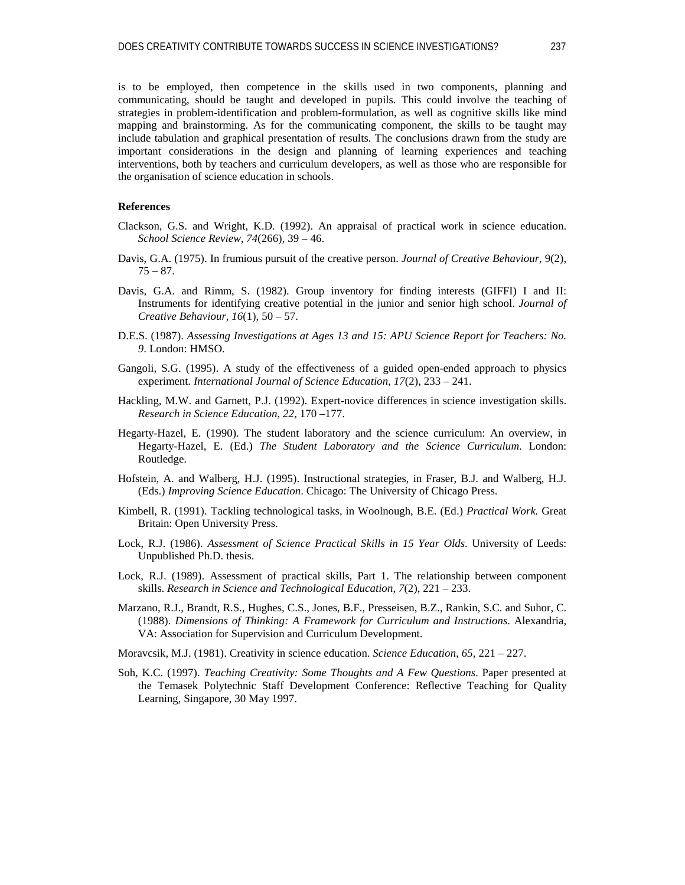is to be employed, then competence in the skills used in two components, planning and communicating, should be taught and developed in pupils. This could involve the teaching of strategies in problem-identification and problem-formulation, as well as cognitive skills like mind mapping and brainstorming. As for the communicating component, the skills to be taught may include tabulation and graphical presentation of results. The conclusions drawn from the study are important considerations in the design and planning of learning experiences and teaching interventions, both by teachers and curriculum developers, as well as those who are responsible for the organisation of science education in schools.

## **References**

- Clackson, G.S. and Wright, K.D. (1992). An appraisal of practical work in science education. *School Science Review*, *74*(266), 39 – 46.
- Davis, G.A. (1975). In frumious pursuit of the creative person. *Journal of Creative Behaviour*, 9(2),  $75 - 87.$
- Davis, G.A. and Rimm, S. (1982). Group inventory for finding interests (GIFFI) I and II: Instruments for identifying creative potential in the junior and senior high school. *Journal of Creative Behaviour*, *16*(1), 50 – 57.
- D.E.S. (1987). *Assessing Investigations at Ages 13 and 15: APU Science Report for Teachers: No. 9*. London: HMSO.
- Gangoli, S.G. (1995). A study of the effectiveness of a guided open-ended approach to physics experiment. *International Journal of Science Education*, *17*(2), 233 – 241.
- Hackling, M.W. and Garnett, P.J. (1992). Expert-novice differences in science investigation skills. *Research in Science Education*, *22*, 170 –177.
- Hegarty-Hazel, E. (1990). The student laboratory and the science curriculum: An overview, in Hegarty-Hazel, E. (Ed.) *The Student Laboratory and the Science Curriculum*. London: Routledge.
- Hofstein, A. and Walberg, H.J. (1995). Instructional strategies, in Fraser, B.J. and Walberg, H.J. (Eds.) *Improving Science Education*. Chicago: The University of Chicago Press.
- Kimbell, R. (1991). Tackling technological tasks, in Woolnough, B.E. (Ed.) *Practical Work.* Great Britain: Open University Press.
- Lock, R.J. (1986). *Assessment of Science Practical Skills in 15 Year Olds*. University of Leeds: Unpublished Ph.D. thesis.
- Lock, R.J. (1989). Assessment of practical skills, Part 1. The relationship between component skills. *Research in Science and Technological Education*, *7*(2), 221 – 233.
- Marzano, R.J., Brandt, R.S., Hughes, C.S., Jones, B.F., Presseisen, B.Z., Rankin, S.C. and Suhor, C. (1988). *Dimensions of Thinking: A Framework for Curriculum and Instructions*. Alexandria, VA: Association for Supervision and Curriculum Development.
- Moravcsik, M.J. (1981). Creativity in science education. *Science Education*, *65*, 221 227.
- Soh, K.C. (1997). *Teaching Creativity: Some Thoughts and A Few Questions*. Paper presented at the Temasek Polytechnic Staff Development Conference: Reflective Teaching for Quality Learning, Singapore, 30 May 1997.